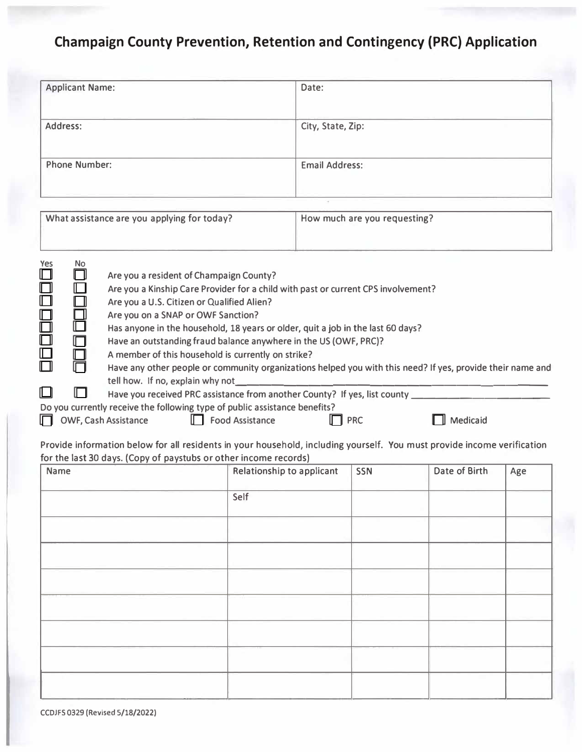# **Champaign County Prevention, Retention and Contingency (PRC) Application**

| <b>Applicant Name:</b> | Date:                 |
|------------------------|-----------------------|
| Address:               | City, State, Zip:     |
| <b>Phone Number:</b>   | <b>Email Address:</b> |

|                                                                  |                  | What assistance are you applying for today?                                                                                                                                                                                                                                                                                                                                                                                                                                                                                                 | How much are you requesting? |          |
|------------------------------------------------------------------|------------------|---------------------------------------------------------------------------------------------------------------------------------------------------------------------------------------------------------------------------------------------------------------------------------------------------------------------------------------------------------------------------------------------------------------------------------------------------------------------------------------------------------------------------------------------|------------------------------|----------|
| Yes<br>$\square$<br>$\Box$<br>$\square$<br>88<br>80<br>$\square$ | No.<br>- 11<br>n | Are you a resident of Champaign County?<br>Are you a Kinship Care Provider for a child with past or current CPS involvement?<br>Are you a U.S. Citizen or Qualified Alien?<br>Are you on a SNAP or OWF Sanction?<br>Has anyone in the household, 18 years or older, quit a job in the last 60 days?<br>Have an outstanding fraud balance anywhere in the US (OWF, PRC)?<br>A member of this household is currently on strike?<br>Have any other people or community organizations helped you with this need? If yes, provide their name and |                              |          |
| ∐<br>lП                                                          |                  | tell how. If no, explain why not<br>Have you received PRC assistance from another County? If yes, list county<br>Do you currently receive the following type of public assistance benefits?<br><b>OWF, Cash Assistance</b><br><b>Food Assistance</b>                                                                                                                                                                                                                                                                                        | <b>PRC</b>                   | Medicaid |

Provide information below for all residents in your household, including yourself. You must provide income verification for the last 30 days. (Copy of paystubs or other income records)

| Name | Relationship to applicant | SSN | Date of Birth | Age |
|------|---------------------------|-----|---------------|-----|
|      | Self                      |     |               |     |
|      |                           |     |               |     |
|      |                           |     |               |     |
|      |                           |     |               |     |
|      |                           |     |               |     |
|      |                           |     |               |     |
|      |                           |     |               |     |
|      |                           |     |               |     |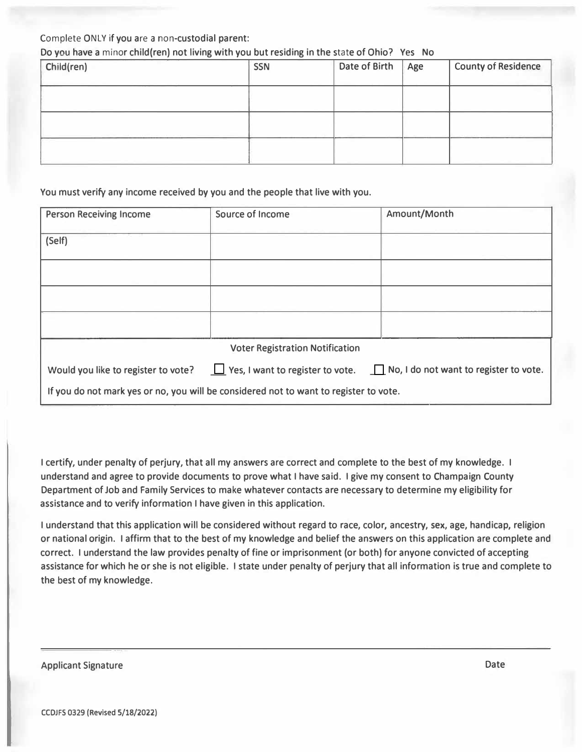# Complete ONLY if you are a non-custodial parent:

# Do you have a minor child(ren) not living with you but residing in the state of Ohio? Yes No

| Child(ren) | <b>SSN</b> | Date of Birth | Age | <b>County of Residence</b> |
|------------|------------|---------------|-----|----------------------------|
|            |            |               |     |                            |
|            |            |               |     |                            |
|            |            |               |     |                            |

#### You must verify any income received by you and the people that live with you.

| <b>Person Receiving Income</b>      | Source of Income                                                                      | Amount/Month                                                                          |
|-------------------------------------|---------------------------------------------------------------------------------------|---------------------------------------------------------------------------------------|
| (Self)                              |                                                                                       |                                                                                       |
|                                     |                                                                                       |                                                                                       |
|                                     |                                                                                       |                                                                                       |
|                                     |                                                                                       |                                                                                       |
|                                     |                                                                                       |                                                                                       |
|                                     | <b>Voter Registration Notification</b>                                                |                                                                                       |
| Would you like to register to vote? |                                                                                       | $\Box$ Yes, I want to register to vote. $\Box$ No, I do not want to register to vote. |
|                                     | If you do not mark yes or no, you will be considered not to want to register to vote. |                                                                                       |

I certify, under penalty of perjury, that all my answers are correct and complete to the best of my knowledge. I understand and agree to provide documents to prove what I have said. I give my consent to Champaign County Department of Job and Family Services to make whatever contacts are necessary to determine my eligibility for assistance and to verify information I have given in this application.

I understand that this application will be considered without regard to race, color, ancestry, **sex,** age, handicap, religion or national origin. I affirm that to the best of my knowledge and belief the answers on this application are complete and correct. I understand the law provides penalty of fine or imprisonment (or both) for anyone convicted of accepting assistance for which he or she is not eligible. I state under penalty of perjury that all information is true and complete to the best of my knowledge.

Applicant Signature Date